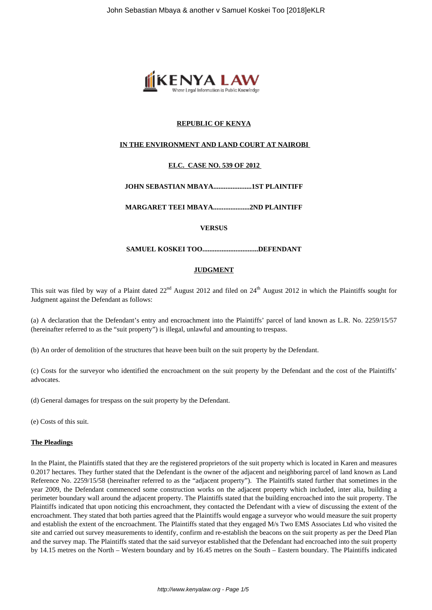

# **REPUBLIC OF KENYA**

# **IN THE ENVIRONMENT AND LAND COURT AT NAIROBI**

# **ELC. CASE NO. 539 OF 2012**

**JOHN SEBASTIAN MBAYA......................1ST PLAINTIFF**

**MARGARET TEEI MBAYA.....................2ND PLAINTIFF**

#### **VERSUS**

**SAMUEL KOSKEI TOO................................DEFENDANT**

## **JUDGMENT**

This suit was filed by way of a Plaint dated  $22<sup>nd</sup>$  August 2012 and filed on  $24<sup>th</sup>$  August 2012 in which the Plaintiffs sought for Judgment against the Defendant as follows:

(a) A declaration that the Defendant's entry and encroachment into the Plaintiffs' parcel of land known as L.R. No. 2259/15/57 (hereinafter referred to as the "suit property") is illegal, unlawful and amounting to trespass.

(b) An order of demolition of the structures that heave been built on the suit property by the Defendant.

(c) Costs for the surveyor who identified the encroachment on the suit property by the Defendant and the cost of the Plaintiffs' advocates.

(d) General damages for trespass on the suit property by the Defendant.

(e) Costs of this suit.

#### **The Pleadings**

In the Plaint, the Plaintiffs stated that they are the registered proprietors of the suit property which is located in Karen and measures 0.2017 hectares. They further stated that the Defendant is the owner of the adjacent and neighboring parcel of land known as Land Reference No. 2259/15/58 (hereinafter referred to as the "adjacent property"). The Plaintiffs stated further that sometimes in the year 2009, the Defendant commenced some construction works on the adjacent property which included, inter alia, building a perimeter boundary wall around the adjacent property. The Plaintiffs stated that the building encroached into the suit property. The Plaintiffs indicated that upon noticing this encroachment, they contacted the Defendant with a view of discussing the extent of the encroachment. They stated that both parties agreed that the Plaintiffs would engage a surveyor who would measure the suit property and establish the extent of the encroachment. The Plaintiffs stated that they engaged M/s Two EMS Associates Ltd who visited the site and carried out survey measurements to identify, confirm and re-establish the beacons on the suit property as per the Deed Plan and the survey map. The Plaintiffs stated that the said surveyor established that the Defendant had encroached into the suit property by 14.15 metres on the North – Western boundary and by 16.45 metres on the South – Eastern boundary. The Plaintiffs indicated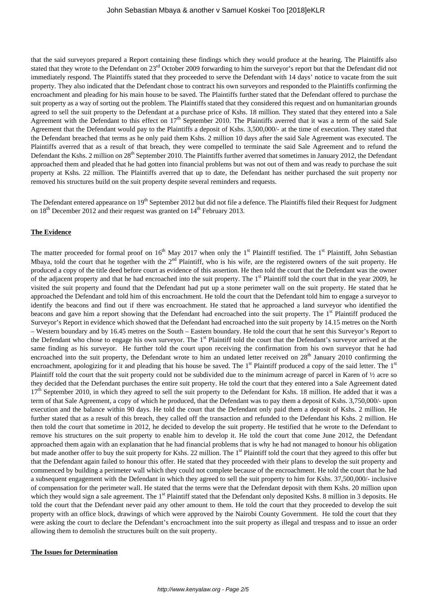that the said surveyors prepared a Report containing these findings which they would produce at the hearing. The Plaintiffs also stated that they wrote to the Defendant on 23<sup>rd</sup> October 2009 forwarding to him the surveyor's report but that the Defendant did not immediately respond. The Plaintiffs stated that they proceeded to serve the Defendant with 14 days' notice to vacate from the suit property. They also indicated that the Defendant chose to contract his own surveyors and responded to the Plaintiffs confirming the encroachment and pleading for his main house to be saved. The Plaintiffs further stated that the Defendant offered to purchase the suit property as a way of sorting out the problem. The Plaintiffs stated that they considered this request and on humanitarian grounds agreed to sell the suit property to the Defendant at a purchase price of Kshs. 18 million. They stated that they entered into a Sale Agreement with the Defendant to this effect on  $17<sup>th</sup>$  September 2010. The Plaintiffs averred that it was a term of the said Sale Agreement that the Defendant would pay to the Plaintiffs a deposit of Kshs. 3,500,000/- at the time of execution. They stated that the Defendant breached that terms as he only paid them Kshs. 2 million 10 days after the said Sale Agreement was executed. The Plaintiffs averred that as a result of that breach, they were compelled to terminate the said Sale Agreement and to refund the Defendant the Kshs. 2 million on 28<sup>th</sup> September 2010. The Plaintiffs further averred that sometimes in January 2012, the Defendant approached them and pleaded that he had gotten into financial problems but was not out of them and was ready to purchase the suit property at Kshs. 22 million. The Plaintiffs averred that up to date, the Defendant has neither purchased the suit property nor removed his structures build on the suit property despite several reminders and requests.

The Defendant entered appearance on 19<sup>th</sup> September 2012 but did not file a defence. The Plaintiffs filed their Request for Judgment on  $18<sup>th</sup>$  December 2012 and their request was granted on  $14<sup>th</sup>$  February 2013.

#### **The Evidence**

The matter proceeded for formal proof on  $16<sup>th</sup>$  May 2017 when only the 1<sup>st</sup> Plaintiff testified. The 1<sup>st</sup> Plaintiff, John Sebastian Mbaya, told the court that he together with the  $2<sup>nd</sup>$  Plaintiff, who is his wife, are the registered owners of the suit property. He produced a copy of the title deed before court as evidence of this assertion. He then told the court that the Defendant was the owner of the adjacent property and that he had encroached into the suit property. The 1<sup>st</sup> Plaintiff told the court that in the year 2009, he visited the suit property and found that the Defendant had put up a stone perimeter wall on the suit property. He stated that he approached the Defendant and told him of this encroachment. He told the court that the Defendant told him to engage a surveyor to identify the beacons and find out if there was encroachment. He stated that he approached a land surveyor who identified the beacons and gave him a report showing that the Defendant had encroached into the suit property. The 1<sup>st</sup> Plaintiff produced the Surveyor's Report in evidence which showed that the Defendant had encroached into the suit property by 14.15 metres on the North – Western boundary and by 16.45 metres on the South – Eastern boundary. He told the court that he sent this Surveyor's Report to the Defendant who chose to engage his own surveyor. The 1<sup>st</sup> Plaintiff told the court that the Defendant's surveyor arrived at the same finding as his surveyor. He further told the court upon receiving the confirmation from his own surveyor that he had encroached into the suit property, the Defendant wrote to him an undated letter received on  $28<sup>th</sup>$  January 2010 confirming the encroachment, apologizing for it and pleading that his house be saved. The 1<sup>st</sup> Plaintiff produced a copy of the said letter. The 1<sup>st</sup> Plaintiff told the court that the suit property could not be subdivided due to the minimum acreage of parcel in Karen of  $\frac{1}{2}$  acre so they decided that the Defendant purchases the entire suit property. He told the court that they entered into a Sale Agreement dated  $17<sup>th</sup>$  September 2010, in which they agreed to sell the suit property to the Defendant for Kshs. 18 million. He added that it was a term of that Sale Agreement, a copy of which he produced, that the Defendant was to pay them a deposit of Kshs. 3,750,000/- upon execution and the balance within 90 days. He told the court that the Defendant only paid them a deposit of Kshs. 2 million. He further stated that as a result of this breach, they called off the transaction and refunded to the Defendant his Kshs. 2 million. He then told the court that sometime in 2012, he decided to develop the suit property. He testified that he wrote to the Defendant to remove his structures on the suit property to enable him to develop it. He told the court that come June 2012, the Defendant approached them again with an explanation that he had financial problems that is why he had not managed to honour his obligation but made another offer to buy the suit property for Kshs. 22 million. The 1<sup>st</sup> Plaintiff told the court that they agreed to this offer but that the Defendant again failed to honour this offer. He stated that they proceeded with their plans to develop the suit property and commenced by building a perimeter wall which they could not complete because of the encroachment. He told the court that he had a subsequent engagement with the Defendant in which they agreed to sell the suit property to him for Kshs. 37,500,000/- inclusive of compensation for the perimeter wall. He stated that the terms were that the Defendant deposit with them Kshs. 20 million upon which they would sign a sale agreement. The  $1<sup>st</sup>$  Plaintiff stated that the Defendant only deposited Kshs. 8 million in 3 deposits. He told the court that the Defendant never paid any other amount to them. He told the court that they proceeded to develop the suit property with an office block, drawings of which were approved by the Nairobi County Government. He told the court that they were asking the court to declare the Defendant's encroachment into the suit property as illegal and trespass and to issue an order allowing them to demolish the structures built on the suit property.

#### **The Issues for Determination**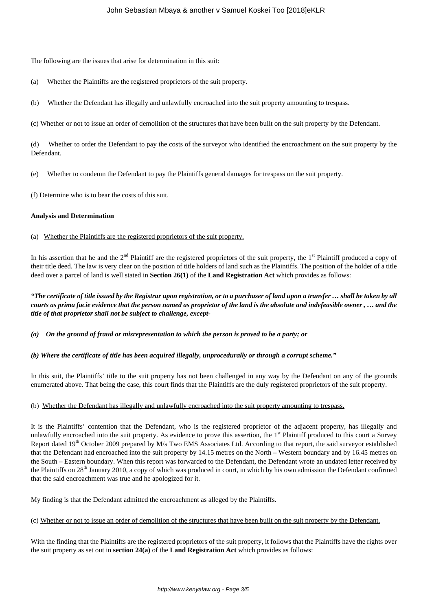The following are the issues that arise for determination in this suit:

- (a) Whether the Plaintiffs are the registered proprietors of the suit property.
- (b) Whether the Defendant has illegally and unlawfully encroached into the suit property amounting to trespass.

(c) Whether or not to issue an order of demolition of the structures that have been built on the suit property by the Defendant.

(d) Whether to order the Defendant to pay the costs of the surveyor who identified the encroachment on the suit property by the Defendant.

(e) Whether to condemn the Defendant to pay the Plaintiffs general damages for trespass on the suit property.

(f) Determine who is to bear the costs of this suit.

#### **Analysis and Determination**

(a) Whether the Plaintiffs are the registered proprietors of the suit property.

In his assertion that he and the  $2<sup>nd</sup>$  Plaintiff are the registered proprietors of the suit property, the  $1<sup>st</sup>$  Plaintiff produced a copy of their title deed. The law is very clear on the position of title holders of land such as the Plaintiffs. The position of the holder of a title deed over a parcel of land is well stated in **Section 26(1)** of the **Land Registration Act** which provides as follows:

*"The certificate of title issued by the Registrar upon registration, or to a purchaser of land upon a transfer … shall be taken by all courts as prima facie evidence that the person named as proprietor of the land is the absolute and indefeasible owner , … and the title of that proprietor shall not be subject to challenge, except-*

*(a) On the ground of fraud or misrepresentation to which the person is proved to be a party; or*

#### *(b) Where the certificate of title has been acquired illegally, unprocedurally or through a corrupt scheme."*

In this suit, the Plaintiffs' title to the suit property has not been challenged in any way by the Defendant on any of the grounds enumerated above. That being the case, this court finds that the Plaintiffs are the duly registered proprietors of the suit property.

## (b) Whether the Defendant has illegally and unlawfully encroached into the suit property amounting to trespass.

It is the Plaintiffs' contention that the Defendant, who is the registered proprietor of the adjacent property, has illegally and unlawfully encroached into the suit property. As evidence to prove this assertion, the  $1<sup>st</sup>$  Plaintiff produced to this court a Survey Report dated 19<sup>th</sup> October 2009 prepared by M/s Two EMS Associates Ltd. According to that report, the said surveyor established that the Defendant had encroached into the suit property by 14.15 metres on the North – Western boundary and by 16.45 metres on the South – Eastern boundary. When this report was forwarded to the Defendant, the Defendant wrote an undated letter received by the Plaintiffs on 28<sup>th</sup> January 2010, a copy of which was produced in court, in which by his own admission the Defendant confirmed that the said encroachment was true and he apologized for it.

My finding is that the Defendant admitted the encroachment as alleged by the Plaintiffs.

(c) Whether or not to issue an order of demolition of the structures that have been built on the suit property by the Defendant.

With the finding that the Plaintiffs are the registered proprietors of the suit property, it follows that the Plaintiffs have the rights over the suit property as set out in **section 24(a)** of the **Land Registration Act** which provides as follows: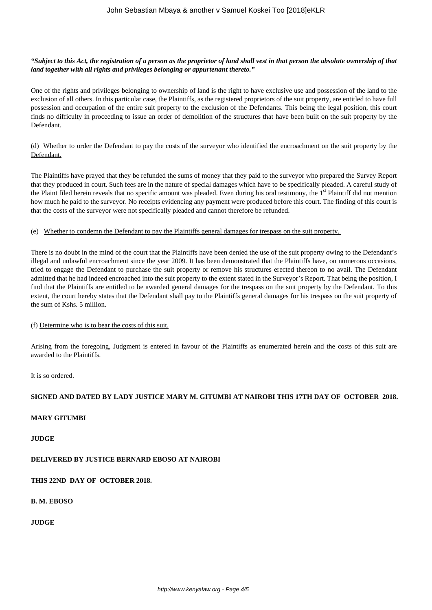## *"Subject to this Act, the registration of a person as the proprietor of land shall vest in that person the absolute ownership of that land together with all rights and privileges belonging or appurtenant thereto."*

One of the rights and privileges belonging to ownership of land is the right to have exclusive use and possession of the land to the exclusion of all others. In this particular case, the Plaintiffs, as the registered proprietors of the suit property, are entitled to have full possession and occupation of the entire suit property to the exclusion of the Defendants. This being the legal position, this court finds no difficulty in proceeding to issue an order of demolition of the structures that have been built on the suit property by the Defendant.

# (d) Whether to order the Defendant to pay the costs of the surveyor who identified the encroachment on the suit property by the Defendant.

The Plaintiffs have prayed that they be refunded the sums of money that they paid to the surveyor who prepared the Survey Report that they produced in court. Such fees are in the nature of special damages which have to be specifically pleaded. A careful study of the Plaint filed herein reveals that no specific amount was pleaded. Even during his oral testimony, the 1<sup>st</sup> Plaintiff did not mention how much he paid to the surveyor. No receipts evidencing any payment were produced before this court. The finding of this court is that the costs of the surveyor were not specifically pleaded and cannot therefore be refunded.

#### (e) Whether to condemn the Defendant to pay the Plaintiffs general damages for trespass on the suit property.

There is no doubt in the mind of the court that the Plaintiffs have been denied the use of the suit property owing to the Defendant's illegal and unlawful encroachment since the year 2009. It has been demonstrated that the Plaintiffs have, on numerous occasions, tried to engage the Defendant to purchase the suit property or remove his structures erected thereon to no avail. The Defendant admitted that he had indeed encroached into the suit property to the extent stated in the Surveyor's Report. That being the position, I find that the Plaintiffs are entitled to be awarded general damages for the trespass on the suit property by the Defendant. To this extent, the court hereby states that the Defendant shall pay to the Plaintiffs general damages for his trespass on the suit property of the sum of Kshs. 5 million.

## (f) Determine who is to bear the costs of this suit.

Arising from the foregoing, Judgment is entered in favour of the Plaintiffs as enumerated herein and the costs of this suit are awarded to the Plaintiffs.

It is so ordered.

## **SIGNED AND DATED BY LADY JUSTICE MARY M. GITUMBI AT NAIROBI THIS 17TH DAY OF OCTOBER 2018.**

## **MARY GITUMBI**

**JUDGE**

## **DELIVERED BY JUSTICE BERNARD EBOSO AT NAIROBI**

## **THIS 22ND DAY OF OCTOBER 2018.**

## **B. M. EBOSO**

## **JUDGE**